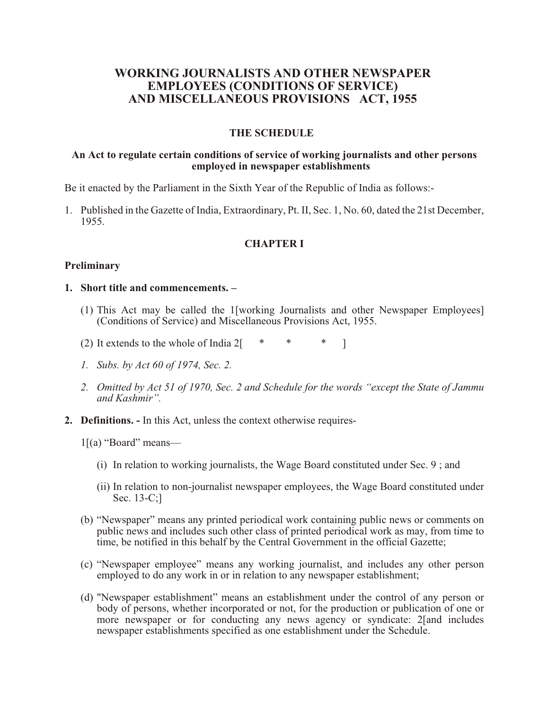# **WORKING JOURNALISTS AND OTHER NEWSPAPER EMPLOYEES (CONDITIONS OF SERVICE) AND MISCELLANEOUS PROVISIONS ACT, 1955**

### **THE SCHEDULE**

#### **An Act to regulate certain conditions of service of working journalists and other persons employed in newspaper establishments**

Be it enacted by the Parliament in the Sixth Year of the Republic of India as follows:-

1. Published in the Gazette of India, Extraordinary, Pt. II, Sec. 1, No. 60, dated the 21st December, 1955.

# **CHAPTER I**

### **Preliminary**

### **1. Short title and commencements. –**

- (1) This Act may be called the 1[working Journalists and other Newspaper Employees] (Conditions of Service) and Miscellaneous Provisions Act, 1955.
- (2) It extends to the whole of India  $2\begin{bmatrix} * & * & * \end{bmatrix}$
- *1. Subs. by Act 60 of 1974, Sec. 2.*
- *2. Omitted by Act 51 of 1970, Sec. 2 and Schedule for the words "except the State of Jammu and Kashmir".*
- **2. Definitions.** In this Act, unless the context otherwise requires-
	- $1[(a)$  "Board" means—
		- (i) In relation to working journalists, the Wage Board constituted under Sec. 9 ; and
		- (ii) In relation to non-journalist newspaper employees, the Wage Board constituted under Sec. 13-C;]
	- (b) "Newspaper" means any printed periodical work containing public news or comments on public news and includes such other class of printed periodical work as may, from time to time, be notified in this behalf by the Central Government in the official Gazette;
	- (c) "Newspaper employee" means any working journalist, and includes any other person employed to do any work in or in relation to any newspaper establishment;
	- (d) "Newspaper establishment" means an establishment under the control of any person or body of persons, whether incorporated or not, for the production or publication of one or more newspaper or for conducting any news agency or syndicate: 2[and includes newspaper establishments specified as one establishment under the Schedule.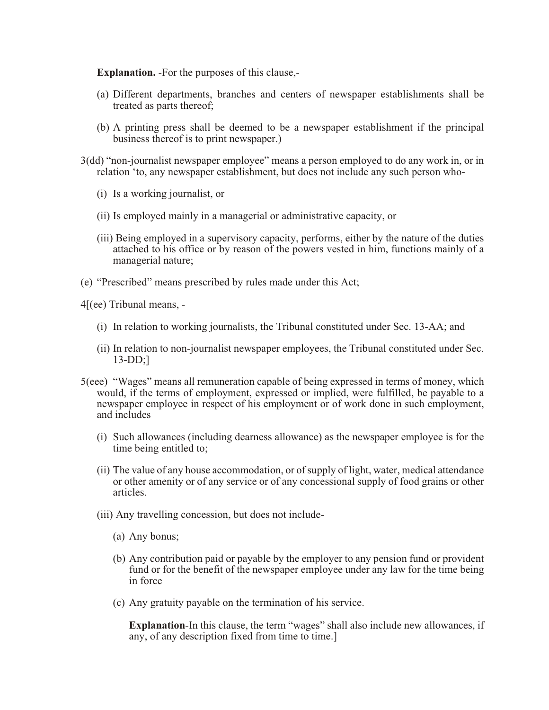**Explanation.** -For the purposes of this clause,-

- (a) Different departments, branches and centers of newspaper establishments shall be treated as parts thereof;
- (b) A printing press shall be deemed to be a newspaper establishment if the principal business thereof is to print newspaper.)
- 3(dd) "non-journalist newspaper employee" means a person employed to do any work in, or in relation 'to, any newspaper establishment, but does not include any such person who-
	- (i) Is a working journalist, or
	- (ii) Is employed mainly in a managerial or administrative capacity, or
	- (iii) Being employed in a supervisory capacity, performs, either by the nature of the duties attached to his office or by reason of the powers vested in him, functions mainly of a managerial nature;
- (e) "Prescribed" means prescribed by rules made under this Act;
- 4[(ee) Tribunal means,
	- (i) In relation to working journalists, the Tribunal constituted under Sec. 13-AA; and
	- (ii) In relation to non-journalist newspaper employees, the Tribunal constituted under Sec. 13-DD;]
- 5(eee) "Wages" means all remuneration capable of being expressed in terms of money, which would, if the terms of employment, expressed or implied, were fulfilled, be payable to a newspaper employee in respect of his employment or of work done in such employment, and includes
	- (i) Such allowances (including dearness allowance) as the newspaper employee is for the time being entitled to;
	- (ii) The value of any house accommodation, or of supply of light, water, medical attendance or other amenity or of any service or of any concessional supply of food grains or other articles.
	- (iii) Any travelling concession, but does not include-
		- (a) Any bonus;
		- (b) Any contribution paid or payable by the employer to any pension fund or provident fund or for the benefit of the newspaper employee under any law for the time being in force
		- (c) Any gratuity payable on the termination of his service.

**Explanation**-In this clause, the term "wages" shall also include new allowances, if any, of any description fixed from time to time.]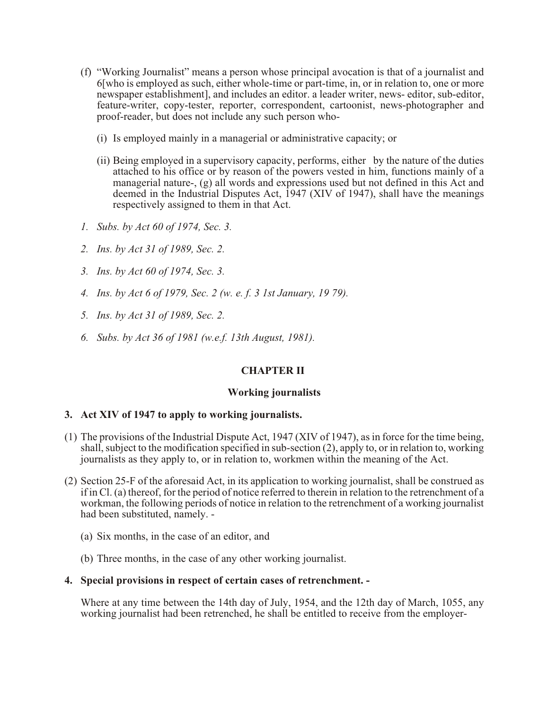- (f) "Working Journalist" means a person whose principal avocation is that of a journalist and 6[who is employed as such, either whole-time or part-time, in, or in relation to, one or more newspaper establishment], and includes an editor. a leader writer, news- editor, sub-editor, feature-writer, copy-tester, reporter, correspondent, cartoonist, news-photographer and proof-reader, but does not include any such person who-
	- (i) Is employed mainly in a managerial or administrative capacity; or
	- (ii) Being employed in a supervisory capacity, performs, either by the nature of the duties attached to his office or by reason of the powers vested in him, functions mainly of a managerial nature-, (g) all words and expressions used but not defined in this Act and deemed in the Industrial Disputes Act, 1947 (XIV of 1947), shall have the meanings respectively assigned to them in that Act.
- *1. Subs. by Act 60 of 1974, Sec. 3.*
- *2. Ins. by Act 31 of 1989, Sec. 2.*
- *3. Ins. by Act 60 of 1974, Sec. 3.*
- *4. Ins. by Act 6 of 1979, Sec. 2 (w. e. f. 3 1st January, 19 79).*
- *5. Ins. by Act 31 of 1989, Sec. 2.*
- *6. Subs. by Act 36 of 1981 (w.e.f. 13th August, 1981).*

# **CHAPTER II**

### **Working journalists**

### **3. Act XIV of 1947 to apply to working journalists.**

- (1) The provisions of the Industrial Dispute Act, 1947 (XIV of 1947), as in force for the time being, shall, subject to the modification specified in sub-section (2), apply to, or in relation to, working journalists as they apply to, or in relation to, workmen within the meaning of the Act.
- (2) Section 25-F of the aforesaid Act, in its application to working journalist, shall be construed as if in Cl. (a) thereof, for the period of notice referred to therein in relation to the retrenchment of a workman, the following periods of notice in relation to the retrenchment of a working journalist had been substituted, namely. -
	- (a) Six months, in the case of an editor, and
	- (b) Three months, in the case of any other working journalist.

### **4. Special provisions in respect of certain cases of retrenchment. -**

Where at any time between the 14th day of July, 1954, and the 12th day of March, 1055, any working journalist had been retrenched, he shall be entitled to receive from the employer-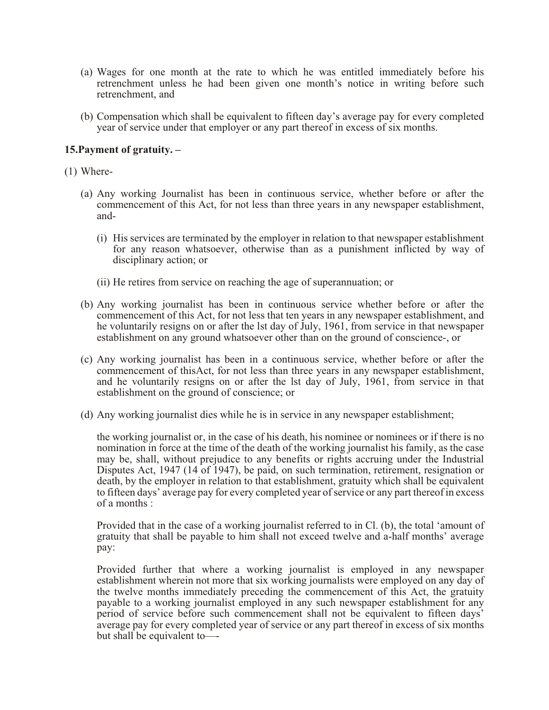- (a) Wages for one month at the rate to which he was entitled immediately before his retrenchment unless he had been given one month's notice in writing before such retrenchment, and
- (b) Compensation which shall be equivalent to fifteen day's average pay for every completed year of service under that employer or any part thereof in excess of six months.

# **15.Payment of gratuity. –**

- (1) Where-
	- (a) Any working Journalist has been in continuous service, whether before or after the commencement of this Act, for not less than three years in any newspaper establishment, and-
		- (i) His services are terminated by the employer in relation to that newspaper establishment for any reason whatsoever, otherwise than as a punishment inflicted by way of disciplinary action; or
		- (ii) He retires from service on reaching the age of superannuation; or
	- (b) Any working journalist has been in continuous service whether before or after the commencement of this Act, for not less that ten years in any newspaper establishment, and he voluntarily resigns on or after the lst day of July, 1961, from service in that newspaper establishment on any ground whatsoever other than on the ground of conscience-, or
	- (c) Any working journalist has been in a continuous service, whether before or after the commencement of thisAct, for not less than three years in any newspaper establishment, and he voluntarily resigns on or after the lst day of July, 1961, from service in that establishment on the ground of conscience; or
	- (d) Any working journalist dies while he is in service in any newspaper establishment;

the working journalist or, in the case of his death, his nominee or nominees or if there is no nomination in force at the time of the death of the working journalist his family, as the case may be, shall, without prejudice to any benefits or rights accruing under the Industrial Disputes Act, 1947 (14 of 1947), be paid, on such termination, retirement, resignation or death, by the employer in relation to that establishment, gratuity which shall be equivalent to fifteen days' average pay for every completed year of service or any part thereof in excess of a months :

Provided that in the case of a working journalist referred to in Cl. (b), the total 'amount of gratuity that shall be payable to him shall not exceed twelve and a-half months' average pay:

Provided further that where a working journalist is employed in any newspaper establishment wherein not more that six working journalists were employed on any day of the twelve months immediately preceding the commencement of this Act, the gratuity payable to a working journalist employed in any such newspaper establishment for any period of service before such commencement shall not be equivalent to fifteen days' average pay for every completed year of service or any part thereof in excess of six months but shall be equivalent to—-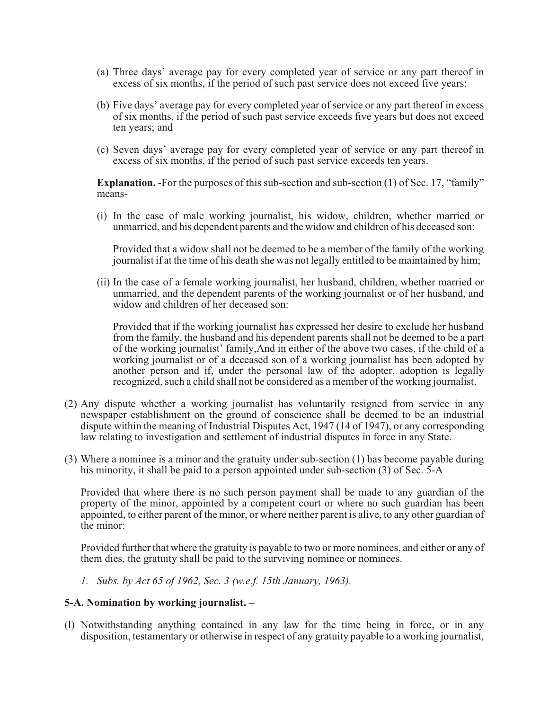- (a) Three days' average pay for every completed year of service or any part thereof in excess of six months, if the period of such past service does not exceed five years;
- (b) Five days' average pay for every completed year of service or any part thereof in excess of six months, if the period of such past service exceeds five years but does not exceed ten years; and
- (c) Seven days' average pay for every completed year of service or any part thereof in excess of six months, if the period of such past service exceeds ten years.

**Explanation.** For the purposes of this sub-section and sub-section (1) of Sec. 17, "family" means-

(i) In the case of male working journalist, his widow, children, whether married or unmarried, and his dependent parents and the widow and children of his deceased son:

Provided that a widow shall not be deemed to be a member of the family of the working journalist if at the time of his death she was not legally entitled to be maintained by him;

(ii) In the case of a female working journalist, her husband, children, whether married or unmarried, and the dependent parents of the working journalist or of her husband, and widow and children of her deceased son:

Provided that if the working journalist has expressed her desire to exclude her husband from the family, the husband and his dependent parents shall not be deemed to be a part of the working journalist' family,And in either of the above two cases, if the child of a working journalist or of a deceased son of a working journalist has been adopted by another person and if, under the personal law of the adopter, adoption is legally recognized, such a child shall not be considered as a member of the working journalist.

- (2) Any dispute whether a working journalist has voluntarily resigned from service in any newspaper establishment on the ground of conscience shall be deemed to be an industrial dispute within the meaning of Industrial Disputes Act, 1947 (14 of 1947), or any corresponding law relating to investigation and settlement of industrial disputes in force in any State.
- (3) Where a nominee is a minor and the gratuity under sub-section (1) has become payable during his minority, it shall be paid to a person appointed under sub-section (3) of Sec. 5-A

Provided that where there is no such person payment shall be made to any guardian of the property of the minor, appointed by a competent court or where no such guardian has been appointed, to either parent of the minor, or where neither parent is alive, to any other guardian of the minor:

Provided further that where the gratuity is payable to two or more nominees, and either or any of them dies, the gratuity shall be paid to the surviving nominee or nominees.

*1. Subs. by Act 65 of 1962, Sec. 3 (w.e.f. 15th January, 1963).*

### **5-A. Nomination by working journalist. –**

(l) Notwithstanding anything contained in any law for the time being in force, or in any disposition, testamentary or otherwise in respect of any gratuity payable to a working journalist,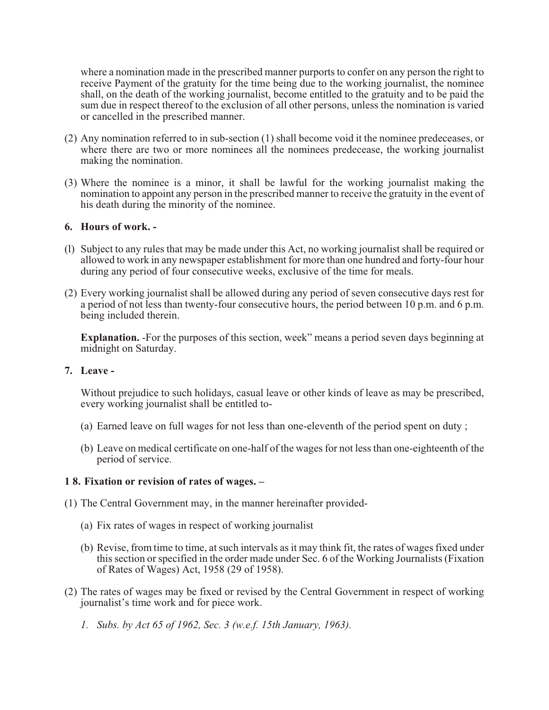where a nomination made in the prescribed manner purports to confer on any person the right to receive Payment of the gratuity for the time being due to the working journalist, the nominee shall, on the death of the working journalist, become entitled to the gratuity and to be paid the sum due in respect thereof to the exclusion of all other persons, unless the nomination is varied or cancelled in the prescribed manner.

- (2) Any nomination referred to in sub-section (1) shall become void it the nominee predeceases, or where there are two or more nominees all the nominees predecease, the working journalist making the nomination.
- (3) Where the nominee is a minor, it shall be lawful for the working journalist making the nomination to appoint any person in the prescribed manner to receive the gratuity in the event of his death during the minority of the nominee.

# **6. Hours of work. -**

- (l) Subject to any rules that may be made under this Act, no working journalist shall be required or allowed to work in any newspaper establishment for more than one hundred and forty-four hour during any period of four consecutive weeks, exclusive of the time for meals.
- (2) Every working journalist shall be allowed during any period of seven consecutive days rest for a period of not less than twenty-four consecutive hours, the period between 10 p.m. and 6 p.m. being included therein.

**Explanation.** -For the purposes of this section, week" means a period seven days beginning at midnight on Saturday.

**7. Leave -**

Without prejudice to such holidays, casual leave or other kinds of leave as may be prescribed, every working journalist shall be entitled to-

- (a) Earned leave on full wages for not less than one-eleventh of the period spent on duty ;
- (b) Leave on medical certificate on one-half of the wages for not less than one-eighteenth of the period of service.

### **1 8. Fixation or revision of rates of wages. –**

- (1) The Central Government may, in the manner hereinafter provided-
	- (a) Fix rates of wages in respect of working journalist
	- (b) Revise, from time to time, at such intervals as it may think fit, the rates of wages fixed under this section or specified in the order made under Sec. 6 of the Working Journalists (Fixation of Rates of Wages) Act, 1958 (29 of 1958).
- (2) The rates of wages may be fixed or revised by the Central Government in respect of working journalist's time work and for piece work.
	- *1. Subs. by Act 65 of 1962, Sec. 3 (w.e.f. 15th January, 1963).*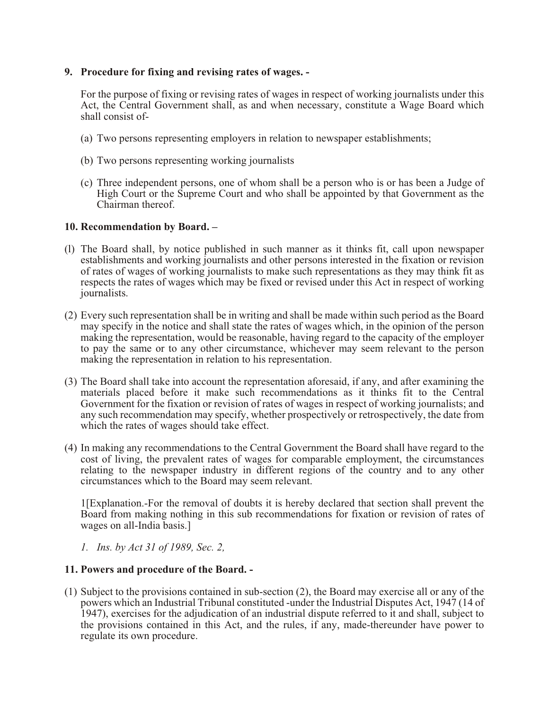# **9. Procedure for fixing and revising rates of wages. -**

For the purpose of fixing or revising rates of wages in respect of working journalists under this Act, the Central Government shall, as and when necessary, constitute a Wage Board which shall consist of-

- (a) Two persons representing employers in relation to newspaper establishments;
- (b) Two persons representing working journalists
- (c) Three independent persons, one of whom shall be a person who is or has been a Judge of High Court or the Supreme Court and who shall be appointed by that Government as the Chairman thereof.

### **10. Recommendation by Board. –**

- (l) The Board shall, by notice published in such manner as it thinks fit, call upon newspaper establishments and working journalists and other persons interested in the fixation or revision of rates of wages of working journalists to make such representations as they may think fit as respects the rates of wages which may be fixed or revised under this Act in respect of working journalists.
- (2) Every such representation shall be in writing and shall be made within such period as the Board may specify in the notice and shall state the rates of wages which, in the opinion of the person making the representation, would be reasonable, having regard to the capacity of the employer to pay the same or to any other circumstance, whichever may seem relevant to the person making the representation in relation to his representation.
- (3) The Board shall take into account the representation aforesaid, if any, and after examining the materials placed before it make such recommendations as it thinks fit to the Central Government for the fixation or revision of rates of wages in respect of working journalists; and any such recommendation may specify, whether prospectively or retrospectively, the date from which the rates of wages should take effect.
- (4) In making any recommendations to the Central Government the Board shall have regard to the cost of living, the prevalent rates of wages for comparable employment, the circumstances relating to the newspaper industry in different regions of the country and to any other circumstances which to the Board may seem relevant.

1[Explanation.-For the removal of doubts it is hereby declared that section shall prevent the Board from making nothing in this sub recommendations for fixation or revision of rates of wages on all-India basis.]

*1. Ins. by Act 31 of 1989, Sec. 2,* 

### **11. Powers and procedure of the Board. -**

(1) Subject to the provisions contained in sub-section (2), the Board may exercise all or any of the powers which an Industrial Tribunal constituted -under the Industrial Disputes Act, 1947 (14 of 1947), exercises for the adjudication of an industrial dispute referred to it and shall, subject to the provisions contained in this Act, and the rules, if any, made-thereunder have power to regulate its own procedure.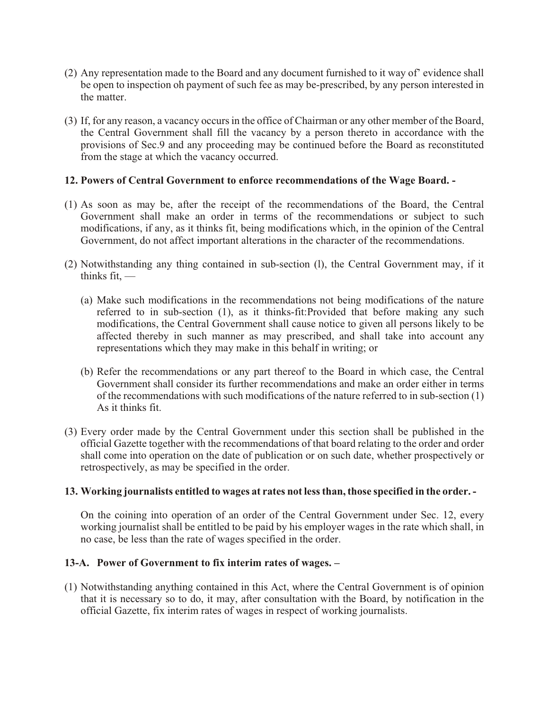- (2) Any representation made to the Board and any document furnished to it way of' evidence shall be open to inspection oh payment of such fee as may be-prescribed, by any person interested in the matter.
- (3) If, for any reason, a vacancy occurs in the office of Chairman or any other member of the Board, the Central Government shall fill the vacancy by a person thereto in accordance with the provisions of Sec.9 and any proceeding may be continued before the Board as reconstituted from the stage at which the vacancy occurred.

## **12. Powers of Central Government to enforce recommendations of the Wage Board. -**

- (1) As soon as may be, after the receipt of the recommendations of the Board, the Central Government shall make an order in terms of the recommendations or subject to such modifications, if any, as it thinks fit, being modifications which, in the opinion of the Central Government, do not affect important alterations in the character of the recommendations.
- (2) Notwithstanding any thing contained in sub-section (l), the Central Government may, if it thinks fit, —
	- (a) Make such modifications in the recommendations not being modifications of the nature referred to in sub-section (1), as it thinks-fit:Provided that before making any such modifications, the Central Government shall cause notice to given all persons likely to be affected thereby in such manner as may prescribed, and shall take into account any representations which they may make in this behalf in writing; or
	- (b) Refer the recommendations or any part thereof to the Board in which case, the Central Government shall consider its further recommendations and make an order either in terms of the recommendations with such modifications of the nature referred to in sub-section (1) As it thinks fit.
- (3) Every order made by the Central Government under this section shall be published in the official Gazette together with the recommendations of that board relating to the order and order shall come into operation on the date of publication or on such date, whether prospectively or retrospectively, as may be specified in the order.

# **13. Working journalists entitled to wages at rates not less than, those specified in the order. -**

On the coining into operation of an order of the Central Government under Sec. 12, every working journalist shall be entitled to be paid by his employer wages in the rate which shall, in no case, be less than the rate of wages specified in the order.

# **13-A. Power of Government to fix interim rates of wages. –**

(1) Notwithstanding anything contained in this Act, where the Central Government is of opinion that it is necessary so to do, it may, after consultation with the Board, by notification in the official Gazette, fix interim rates of wages in respect of working journalists.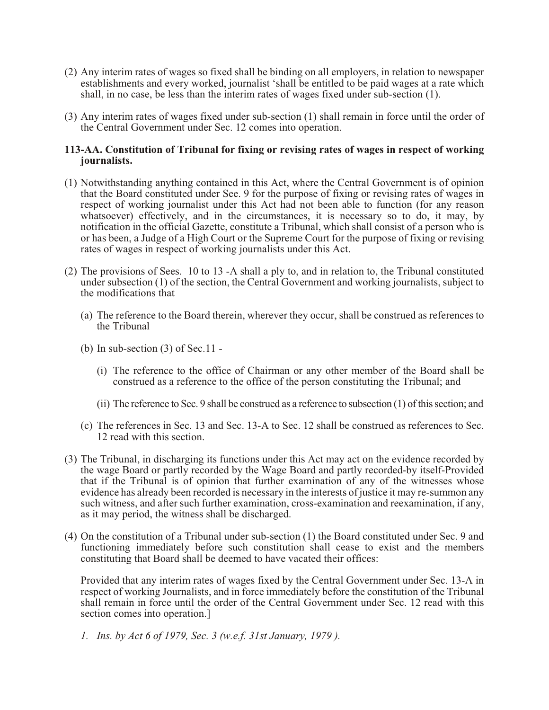- (2) Any interim rates of wages so fixed shall be binding on all employers, in relation to newspaper establishments and every worked, journalist 'shall be entitled to be paid wages at a rate which shall, in no case, be less than the interim rates of wages fixed under sub-section (1).
- (3) Any interim rates of wages fixed under sub-section (1) shall remain in force until the order of the Central Government under Sec. 12 comes into operation.

### **113-AA. Constitution of Tribunal for fixing or revising rates of wages in respect of working journalists.**

- (1) Notwithstanding anything contained in this Act, where the Central Government is of opinion that the Board constituted under See. 9 for the purpose of fixing or revising rates of wages in respect of working journalist under this Act had not been able to function (for any reason whatsoever) effectively, and in the circumstances, it is necessary so to do, it may, by notification in the official Gazette, constitute a Tribunal, which shall consist of a person who is or has been, a Judge of a High Court or the Supreme Court for the purpose of fixing or revising rates of wages in respect of working journalists under this Act.
- (2) The provisions of Sees. 10 to 13 -A shall a ply to, and in relation to, the Tribunal constituted under subsection (1) of the section, the Central Government and working journalists, subject to the modifications that
	- (a) The reference to the Board therein, wherever they occur, shall be construed as references to the Tribunal
	- (b) In sub-section  $(3)$  of Sec.11 -
		- (i) The reference to the office of Chairman or any other member of the Board shall be construed as a reference to the office of the person constituting the Tribunal; and
		- (ii) The reference to Sec. 9 shall be construed as a reference to subsection (1) of this section; and
	- (c) The references in Sec. 13 and Sec. 13-A to Sec. 12 shall be construed as references to Sec. 12 read with this section.
- (3) The Tribunal, in discharging its functions under this Act may act on the evidence recorded by the wage Board or partly recorded by the Wage Board and partly recorded-by itself-Provided that if the Tribunal is of opinion that further examination of any of the witnesses whose evidence has already been recorded is necessary in the interests of justice it may re-summon any such witness, and after such further examination, cross-examination and reexamination, if any, as it may period, the witness shall be discharged.
- (4) On the constitution of a Tribunal under sub-section (1) the Board constituted under Sec. 9 and functioning immediately before such constitution shall cease to exist and the members constituting that Board shall be deemed to have vacated their offices:

Provided that any interim rates of wages fixed by the Central Government under Sec. 13-A in respect of working Journalists, and in force immediately before the constitution of the Tribunal shall remain in force until the order of the Central Government under Sec. 12 read with this section comes into operation.]

*1. Ins. by Act 6 of 1979, Sec. 3 (w.e.f. 31st January, 1979 ).*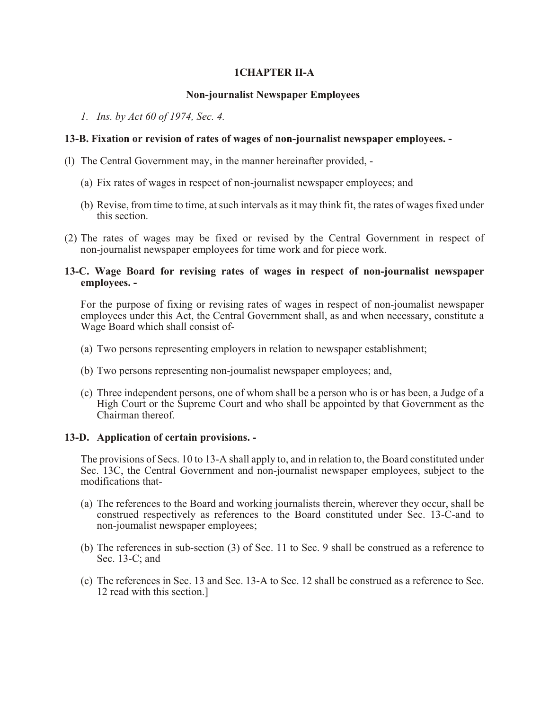# **1CHAPTER II-A**

# **Non-journalist Newspaper Employees**

*1. Ins. by Act 60 of 1974, Sec. 4.* 

# **13-B. Fixation or revision of rates of wages of non-journalist newspaper employees. -**

- (l) The Central Government may, in the manner hereinafter provided,
	- (a) Fix rates of wages in respect of non-journalist newspaper employees; and
	- (b) Revise, from time to time, at such intervals as it may think fit, the rates of wages fixed under this section.
- (2) The rates of wages may be fixed or revised by the Central Government in respect of non-journalist newspaper employees for time work and for piece work.

### **13-C. Wage Board for revising rates of wages in respect of non-journalist newspaper employees. -**

For the purpose of fixing or revising rates of wages in respect of non-joumalist newspaper employees under this Act, the Central Government shall, as and when necessary, constitute a Wage Board which shall consist of-

- (a) Two persons representing employers in relation to newspaper establishment;
- (b) Two persons representing non-joumalist newspaper employees; and,
- (c) Three independent persons, one of whom shall be a person who is or has been, a Judge of a High Court or the Supreme Court and who shall be appointed by that Government as the Chairman thereof.

# **13-D. Application of certain provisions. -**

The provisions of Secs. 10 to 13-A shall apply to, and in relation to, the Board constituted under Sec. 13C, the Central Government and non-journalist newspaper employees, subject to the modifications that-

- (a) The references to the Board and working journalists therein, wherever they occur, shall be construed respectively as references to the Board constituted under Sec. 13-C-and to non-joumalist newspaper employees;
- (b) The references in sub-section (3) of Sec. 11 to Sec. 9 shall be construed as a reference to Sec. 13-C; and
- (c) The references in Sec. 13 and Sec. 13-A to Sec. 12 shall be construed as a reference to Sec. 12 read with this section.]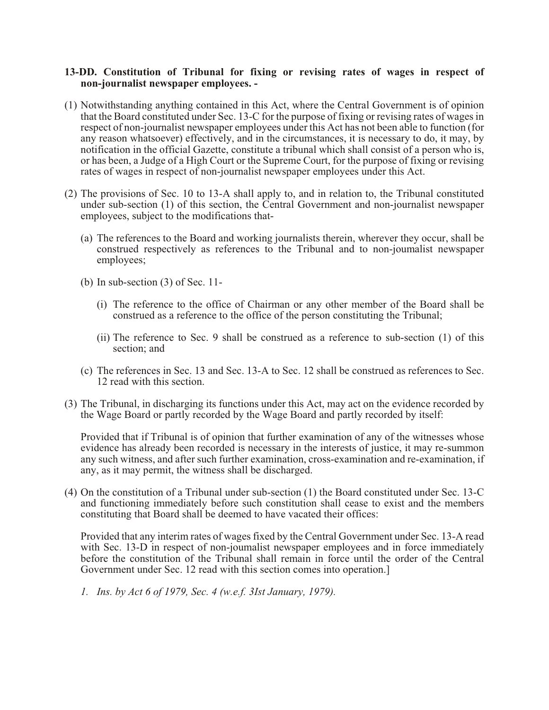# **13-DD. Constitution of Tribunal for fixing or revising rates of wages in respect of non-journalist newspaper employees. -**

- (1) Notwithstanding anything contained in this Act, where the Central Government is of opinion that the Board constituted under Sec. 13-C for the purpose of fixing or revising rates of wages in respect of non-journalist newspaper employees under this Act has not been able to function (for any reason whatsoever) effectively, and in the circumstances, it is necessary to do, it may, by notification in the official Gazette, constitute a tribunal which shall consist of a person who is, or has been, a Judge of a High Court or the Supreme Court, for the purpose of fixing or revising rates of wages in respect of non-journalist newspaper employees under this Act.
- (2) The provisions of Sec. 10 to 13-A shall apply to, and in relation to, the Tribunal constituted under sub-section (1) of this section, the Central Government and non-journalist newspaper employees, subject to the modifications that-
	- (a) The references to the Board and working journalists therein, wherever they occur, shall be construed respectively as references to the Tribunal and to non-joumalist newspaper employees;
	- (b) In sub-section (3) of Sec. 11-
		- (i) The reference to the office of Chairman or any other member of the Board shall be construed as a reference to the office of the person constituting the Tribunal;
		- (ii) The reference to Sec. 9 shall be construed as a reference to sub-section (1) of this section; and
	- (c) The references in Sec. 13 and Sec. 13-A to Sec. 12 shall be construed as references to Sec. 12 read with this section.
- (3) The Tribunal, in discharging its functions under this Act, may act on the evidence recorded by the Wage Board or partly recorded by the Wage Board and partly recorded by itself:

Provided that if Tribunal is of opinion that further examination of any of the witnesses whose evidence has already been recorded is necessary in the interests of justice, it may re-summon any such witness, and after such further examination, cross-examination and re-examination, if any, as it may permit, the witness shall be discharged.

(4) On the constitution of a Tribunal under sub-section (1) the Board constituted under Sec. 13-C and functioning immediately before such constitution shall cease to exist and the members constituting that Board shall be deemed to have vacated their offices:

Provided that any interim rates of wages fixed by the Central Government under Sec. 13-A read with Sec. 13-D in respect of non-joumalist newspaper employees and in force immediately before the constitution of the Tribunal shall remain in force until the order of the Central Government under Sec. 12 read with this section comes into operation.]

*1. Ins. by Act 6 of 1979, Sec. 4 (w.e.f. 3Ist January, 1979).*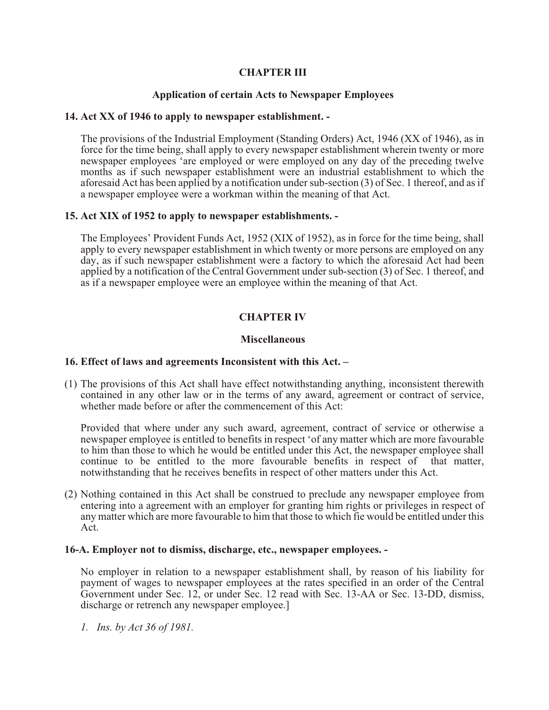# **CHAPTER III**

# **Application of certain Acts to Newspaper Employees**

### **14. Act XX of 1946 to apply to newspaper establishment. -**

The provisions of the Industrial Employment (Standing Orders) Act, 1946 (XX of 1946), as in force for the time being, shall apply to every newspaper establishment wherein twenty or more newspaper employees 'are employed or were employed on any day of the preceding twelve months as if such newspaper establishment were an industrial establishment to which the aforesaid Act has been applied by a notification under sub-section (3) of Sec. 1 thereof, and as if a newspaper employee were a workman within the meaning of that Act.

### **15. Act XIX of 1952 to apply to newspaper establishments. -**

The Employees' Provident Funds Act, 1952 (XIX of 1952), as in force for the time being, shall apply to every newspaper establishment in which twenty or more persons are employed on any day, as if such newspaper establishment were a factory to which the aforesaid Act had been applied by a notification of the Central Government under sub-section (3) of Sec. 1 thereof, and as if a newspaper employee were an employee within the meaning of that Act.

# **CHAPTER IV**

### **Miscellaneous**

### **16. Effect of laws and agreements Inconsistent with this Act. –**

(1) The provisions of this Act shall have effect notwithstanding anything, inconsistent therewith contained in any other law or in the terms of any award, agreement or contract of service, whether made before or after the commencement of this Act:

Provided that where under any such award, agreement, contract of service or otherwise a newspaper employee is entitled to benefits in respect 'of any matter which are more favourable to him than those to which he would be entitled under this Act, the newspaper employee shall continue to be entitled to the more favourable benefits in respect of that matter, notwithstanding that he receives benefits in respect of other matters under this Act.

(2) Nothing contained in this Act shall be construed to preclude any newspaper employee from entering into a agreement with an employer for granting him rights or privileges in respect of any matter which are more favourable to him that those to which fie would be entitled under this Act.

### **16-A. Employer not to dismiss, discharge, etc., newspaper employees. -**

No employer in relation to a newspaper establishment shall, by reason of his liability for payment of wages to newspaper employees at the rates specified in an order of the Central Government under Sec. 12, or under Sec. 12 read with Sec. 13-AA or Sec. 13-DD, dismiss, discharge or retrench any newspaper employee.]

*1. Ins. by Act 36 of 1981.*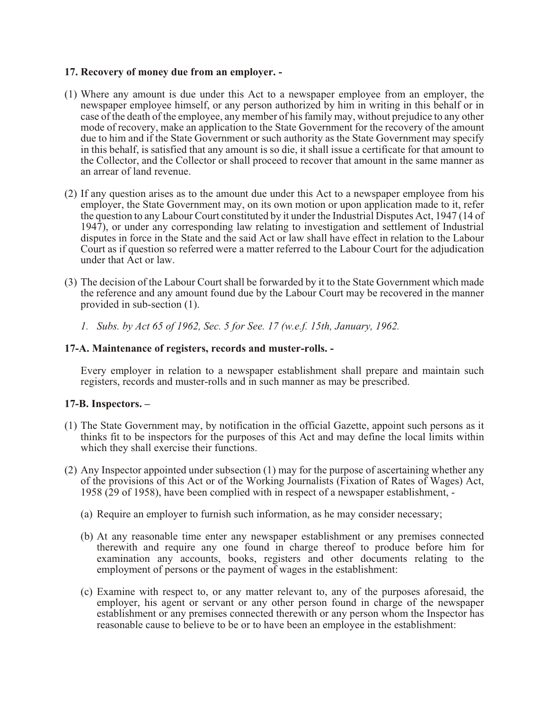## **17. Recovery of money due from an employer. -**

- (1) Where any amount is due under this Act to a newspaper employee from an employer, the newspaper employee himself, or any person authorized by him in writing in this behalf or in case of the death of the employee, any member of his family may, without prejudice to any other mode of recovery, make an application to the State Government for the recovery of the amount due to him and if the State Government or such authority as the State Government may specify in this behalf, is satisfied that any amount is so die, it shall issue a certificate for that amount to the Collector, and the Collector or shall proceed to recover that amount in the same manner as an arrear of land revenue.
- (2) If any question arises as to the amount due under this Act to a newspaper employee from his employer, the State Government may, on its own motion or upon application made to it, refer the question to any Labour Court constituted by it under the Industrial Disputes Act, 1947 (14 of 1947), or under any corresponding law relating to investigation and settlement of Industrial disputes in force in the State and the said Act or law shall have effect in relation to the Labour Court as if question so referred were a matter referred to the Labour Court for the adjudication under that Act or law.
- (3) The decision of the Labour Court shall be forwarded by it to the State Government which made the reference and any amount found due by the Labour Court may be recovered in the manner provided in sub-section (1).
	- *1. Subs. by Act 65 of 1962, Sec. 5 for See. 17 (w.e.f. 15th, January, 1962.*

### **17-A. Maintenance of registers, records and muster-rolls. -**

Every employer in relation to a newspaper establishment shall prepare and maintain such registers, records and muster-rolls and in such manner as may be prescribed.

# **17-B. Inspectors. –**

- (1) The State Government may, by notification in the official Gazette, appoint such persons as it thinks fit to be inspectors for the purposes of this Act and may define the local limits within which they shall exercise their functions.
- (2) Any Inspector appointed under subsection (1) may for the purpose of ascertaining whether any of the provisions of this Act or of the Working Journalists (Fixation of Rates of Wages) Act, 1958 (29 of 1958), have been complied with in respect of a newspaper establishment, -
	- (a) Require an employer to furnish such information, as he may consider necessary;
	- (b) At any reasonable time enter any newspaper establishment or any premises connected therewith and require any one found in charge thereof to produce before him for examination any accounts, books, registers and other documents relating to the employment of persons or the payment of wages in the establishment:
	- (c) Examine with respect to, or any matter relevant to, any of the purposes aforesaid, the employer, his agent or servant or any other person found in charge of the newspaper establishment or any premises connected therewith or any person whom the Inspector has reasonable cause to believe to be or to have been an employee in the establishment: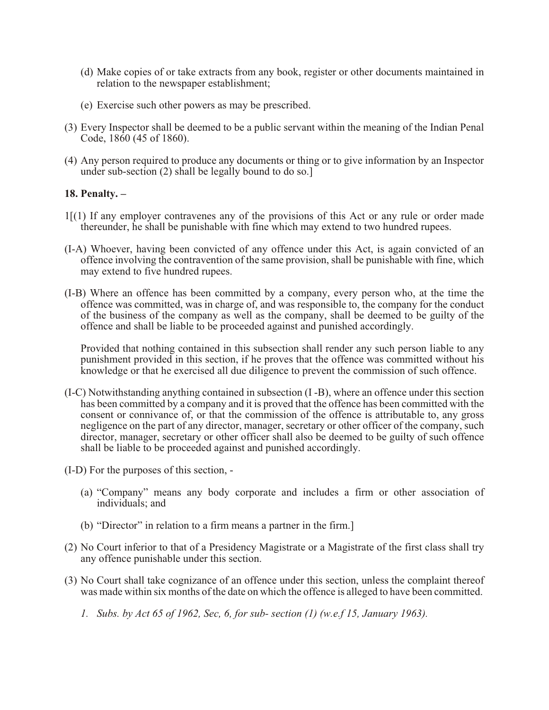- (d) Make copies of or take extracts from any book, register or other documents maintained in relation to the newspaper establishment;
- (e) Exercise such other powers as may be prescribed.
- (3) Every Inspector shall be deemed to be a public servant within the meaning of the Indian Penal Code, 1860 (45 of 1860).
- (4) Any person required to produce any documents or thing or to give information by an Inspector under sub-section (2) shall be legally bound to do so.]

### **18. Penalty. –**

- 1[(1) If any employer contravenes any of the provisions of this Act or any rule or order made thereunder, he shall be punishable with fine which may extend to two hundred rupees.
- (I-A) Whoever, having been convicted of any offence under this Act, is again convicted of an offence involving the contravention of the same provision, shall be punishable with fine, which may extend to five hundred rupees.
- (I-B) Where an offence has been committed by a company, every person who, at the time the offence was committed, was in charge of, and was responsible to, the company for the conduct of the business of the company as well as the company, shall be deemed to be guilty of the offence and shall be liable to be proceeded against and punished accordingly.

Provided that nothing contained in this subsection shall render any such person liable to any punishment provided in this section, if he proves that the offence was committed without his knowledge or that he exercised all due diligence to prevent the commission of such offence.

- (I-C) Notwithstanding anything contained in subsection (I -B), where an offence under this section has been committed by a company and it is proved that the offence has been committed with the consent or connivance of, or that the commission of the offence is attributable to, any gross negligence on the part of any director, manager, secretary or other officer of the company, such director, manager, secretary or other officer shall also be deemed to be guilty of such offence shall be liable to be proceeded against and punished accordingly.
- (I-D) For the purposes of this section,
	- (a) "Company" means any body corporate and includes a firm or other association of individuals; and
	- (b) "Director" in relation to a firm means a partner in the firm.]
- (2) No Court inferior to that of a Presidency Magistrate or a Magistrate of the first class shall try any offence punishable under this section.
- (3) No Court shall take cognizance of an offence under this section, unless the complaint thereof was made within six months of the date on which the offence is alleged to have been committed.
	- *1. Subs. by Act 65 of 1962, Sec, 6, for sub- section (1) (w.e.f 15, January 1963).*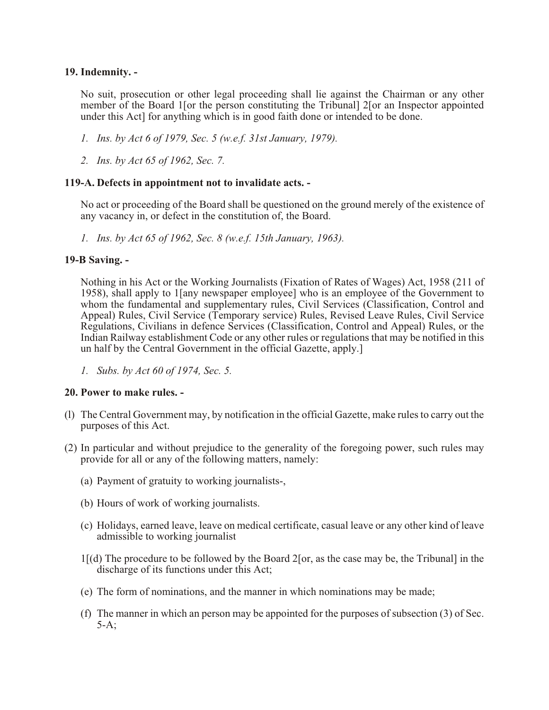# **19. Indemnity. -**

No suit, prosecution or other legal proceeding shall lie against the Chairman or any other member of the Board 1[or the person constituting the Tribunal] 2[or an Inspector appointed under this Act] for anything which is in good faith done or intended to be done.

- *1. Ins. by Act 6 of 1979, Sec. 5 (w.e.f. 31st January, 1979).*
- *2. Ins. by Act 65 of 1962, Sec. 7.*

### **119-A. Defects in appointment not to invalidate acts. -**

No act or proceeding of the Board shall be questioned on the ground merely of the existence of any vacancy in, or defect in the constitution of, the Board.

*1. Ins. by Act 65 of 1962, Sec. 8 (w.e.f. 15th January, 1963).* 

### **19-B Saving. -**

Nothing in his Act or the Working Journalists (Fixation of Rates of Wages) Act, 1958 (211 of 1958), shall apply to 1[any newspaper employee] who is an employee of the Government to whom the fundamental and supplementary rules, Civil Services (Classification, Control and Appeal) Rules, Civil Service (Temporary service) Rules, Revised Leave Rules, Civil Service Regulations, Civilians in defence Services (Classification, Control and Appeal) Rules, or the Indian Railway establishment Code or any other rules or regulations that may be notified in this un half by the Central Government in the official Gazette, apply.]

*1. Subs. by Act 60 of 1974, Sec. 5.* 

### **20. Power to make rules. -**

- (l) The Central Government may, by notification in the official Gazette, make rules to carry out the purposes of this Act.
- (2) In particular and without prejudice to the generality of the foregoing power, such rules may provide for all or any of the following matters, namely:
	- (a) Payment of gratuity to working journalists-,
	- (b) Hours of work of working journalists.
	- (c) Holidays, earned leave, leave on medical certificate, casual leave or any other kind of leave admissible to working journalist
	- 1[(d) The procedure to be followed by the Board 2[or, as the case may be, the Tribunal] in the discharge of its functions under this Act;
	- (e) The form of nominations, and the manner in which nominations may be made;
	- (f) The manner in which an person may be appointed for the purposes of subsection (3) of Sec. 5-A;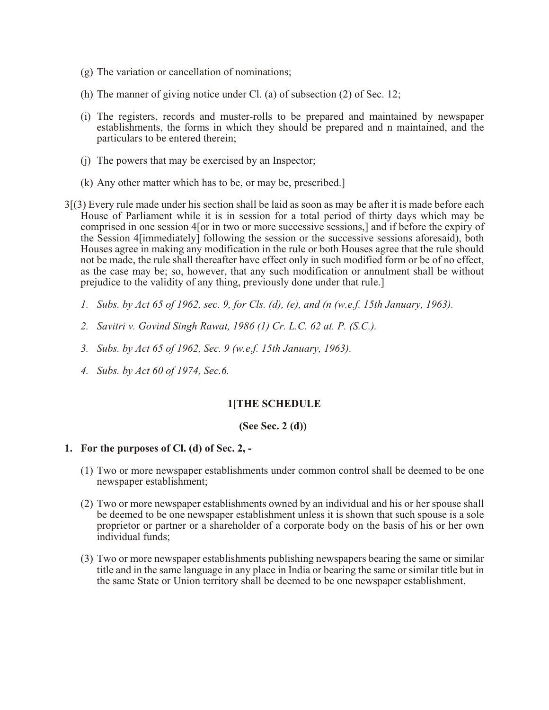- (g) The variation or cancellation of nominations;
- (h) The manner of giving notice under Cl. (a) of subsection (2) of Sec. 12;
- (i) The registers, records and muster-rolls to be prepared and maintained by newspaper establishments, the forms in which they should be prepared and n maintained, and the particulars to be entered therein;
- (j) The powers that may be exercised by an Inspector;
- (k) Any other matter which has to be, or may be, prescribed.]
- 3[(3) Every rule made under his section shall be laid as soon as may be after it is made before each House of Parliament while it is in session for a total period of thirty days which may be comprised in one session 4[or in two or more successive sessions,] and if before the expiry of the Session 4[immediately] following the session or the successive sessions aforesaid), both Houses agree in making any modification in the rule or both Houses agree that the rule should not be made, the rule shall thereafter have effect only in such modified form or be of no effect, as the case may be; so, however, that any such modification or annulment shall be without prejudice to the validity of any thing, previously done under that rule.]
	- *1. Subs. by Act 65 of 1962, sec. 9, for Cls. (d), (e), and (n (w.e.f. 15th January, 1963).*
	- *2. Savitri v. Govind Singh Rawat, 1986 (1) Cr. L.C. 62 at. P. (S.C.).*
	- *3. Subs. by Act 65 of 1962, Sec. 9 (w.e.f. 15th January, 1963).*
	- *4. Subs. by Act 60 of 1974, Sec.6.*

# **1[THE SCHEDULE**

### **(See Sec. 2 (d))**

### **1. For the purposes of Cl. (d) of Sec. 2, -**

- (1) Two or more newspaper establishments under common control shall be deemed to be one newspaper establishment;
- (2) Two or more newspaper establishments owned by an individual and his or her spouse shall be deemed to be one newspaper establishment unless it is shown that such spouse is a sole proprietor or partner or a shareholder of a corporate body on the basis of his or her own individual funds;
- (3) Two or more newspaper establishments publishing newspapers bearing the same or similar title and in the same language in any place in India or bearing the same or similar title but in the same State or Union territory shall be deemed to be one newspaper establishment.